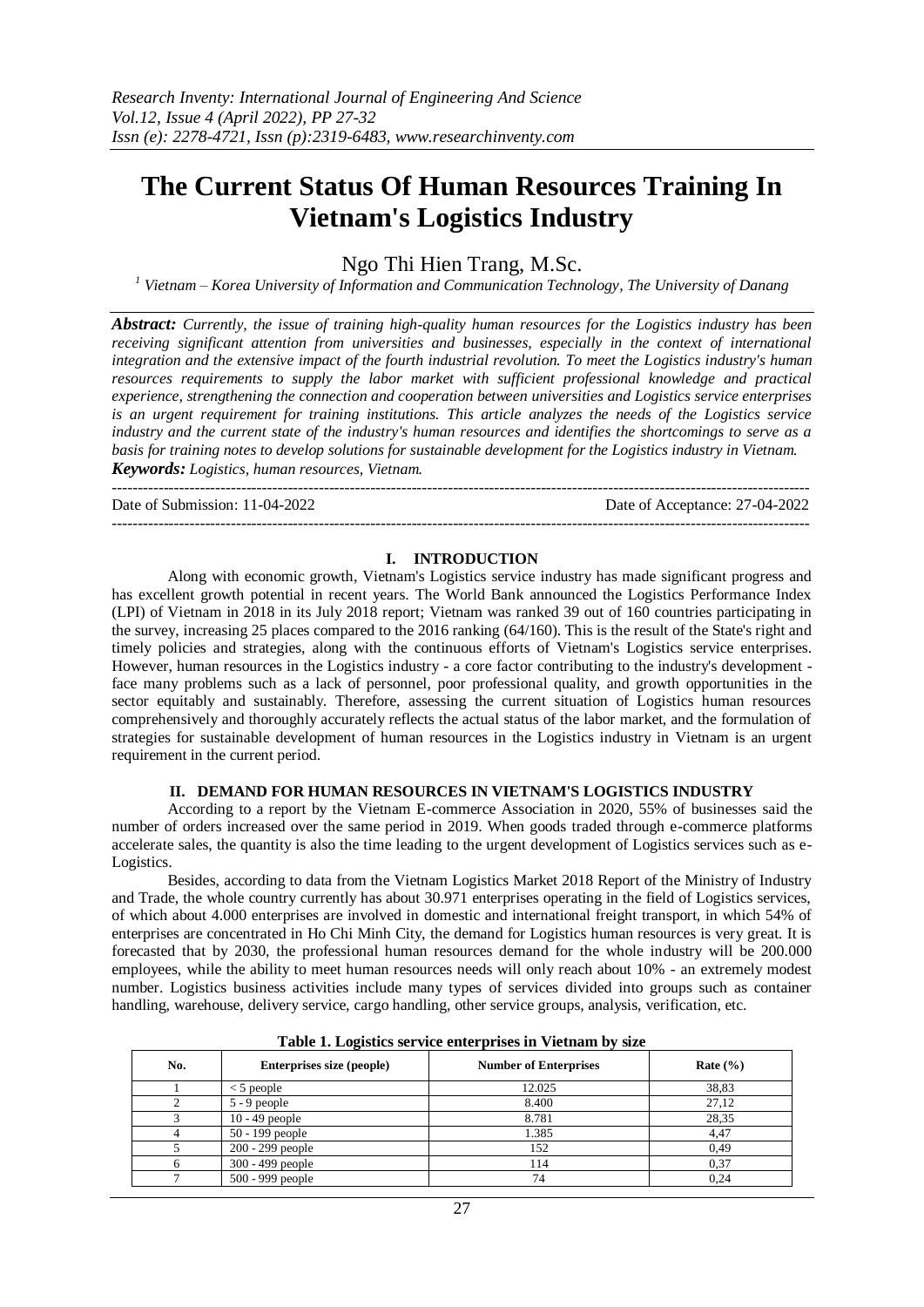# **The Current Status Of Human Resources Training In Vietnam's Logistics Industry**

Ngo Thi Hien Trang, M.Sc.

*<sup>1</sup> Vietnam – Korea University of Information and Communication Technology, The University of Danang*

*Abstract: Currently, the issue of training high-quality human resources for the Logistics industry has been receiving significant attention from universities and businesses, especially in the context of international integration and the extensive impact of the fourth industrial revolution. To meet the Logistics industry's human resources requirements to supply the labor market with sufficient professional knowledge and practical experience, strengthening the connection and cooperation between universities and Logistics service enterprises is an urgent requirement for training institutions. This article analyzes the needs of the Logistics service industry and the current state of the industry's human resources and identifies the shortcomings to serve as a basis for training notes to develop solutions for sustainable development for the Logistics industry in Vietnam. Keywords: Logistics, human resources, Vietnam.*

---------------------------------------------------------------------------------------------------------------------------------------

Date of Submission: 11-04-2022 Date of Acceptance: 27-04-2022

#### **I. INTRODUCTION**

---------------------------------------------------------------------------------------------------------------------------------------

Along with economic growth, Vietnam's Logistics service industry has made significant progress and has excellent growth potential in recent years. The World Bank announced the Logistics Performance Index (LPI) of Vietnam in 2018 in its July 2018 report; Vietnam was ranked 39 out of 160 countries participating in the survey, increasing 25 places compared to the 2016 ranking (64/160). This is the result of the State's right and timely policies and strategies, along with the continuous efforts of Vietnam's Logistics service enterprises. However, human resources in the Logistics industry - a core factor contributing to the industry's development face many problems such as a lack of personnel, poor professional quality, and growth opportunities in the sector equitably and sustainably. Therefore, assessing the current situation of Logistics human resources comprehensively and thoroughly accurately reflects the actual status of the labor market, and the formulation of strategies for sustainable development of human resources in the Logistics industry in Vietnam is an urgent requirement in the current period.

### **II. DEMAND FOR HUMAN RESOURCES IN VIETNAM'S LOGISTICS INDUSTRY**

According to a report by the Vietnam E-commerce Association in 2020, 55% of businesses said the number of orders increased over the same period in 2019. When goods traded through e-commerce platforms accelerate sales, the quantity is also the time leading to the urgent development of Logistics services such as e-Logistics.

Besides, according to data from the Vietnam Logistics Market 2018 Report of the Ministry of Industry and Trade, the whole country currently has about 30.971 enterprises operating in the field of Logistics services, of which about 4.000 enterprises are involved in domestic and international freight transport, in which 54% of enterprises are concentrated in Ho Chi Minh City, the demand for Logistics human resources is very great. It is forecasted that by 2030, the professional human resources demand for the whole industry will be 200.000 employees, while the ability to meet human resources needs will only reach about 10% - an extremely modest number. Logistics business activities include many types of services divided into groups such as container handling, warehouse, delivery service, cargo handling, other service groups, analysis, verification, etc.

|     | $2.0010 \pm 0.00000$      |                              |              |  |  |  |  |
|-----|---------------------------|------------------------------|--------------|--|--|--|--|
| No. | Enterprises size (people) | <b>Number of Enterprises</b> | Rate $(\% )$ |  |  |  |  |
|     | $<$ 5 people              | 12.025                       | 38,83        |  |  |  |  |
|     | $5 - 9$ people            | 8.400                        | 27,12        |  |  |  |  |
|     | $10 - 49$ people          | 8.781                        | 28,35        |  |  |  |  |
|     | $50 - 199$ people         | 1.385                        | 4,47         |  |  |  |  |
|     | 200 - 299 people          | 152                          | 0.49         |  |  |  |  |
|     | $300 - 499$ people        | 114                          | 0.37         |  |  |  |  |
|     | 500 - 999 people          | 74                           | 0,24         |  |  |  |  |

|  |  |  |  |  | Table 1. Logistics service enterprises in Vietnam by size |  |  |  |  |
|--|--|--|--|--|-----------------------------------------------------------|--|--|--|--|
|--|--|--|--|--|-----------------------------------------------------------|--|--|--|--|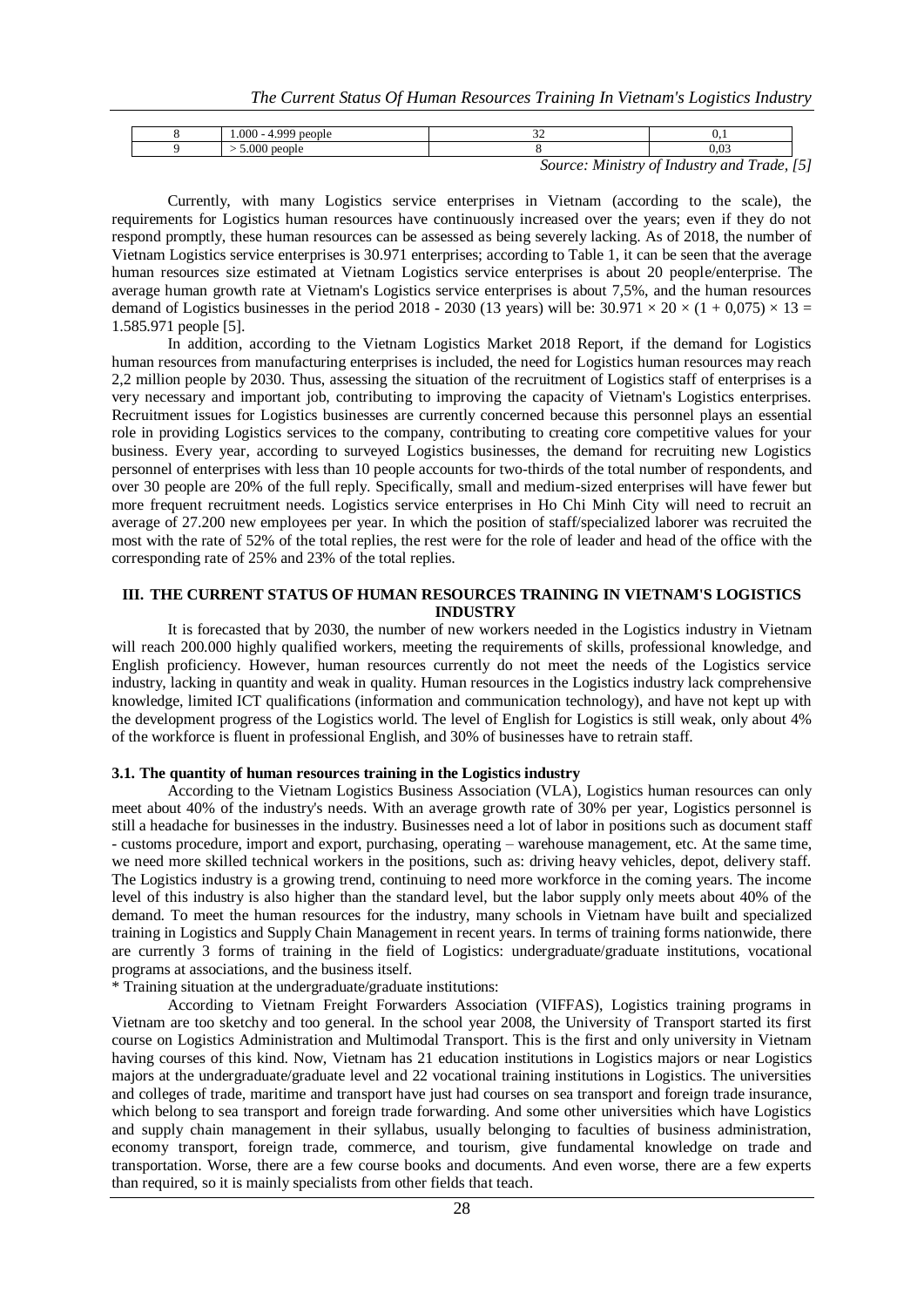|  | 000<br>റററ       | .            |                               |     |
|--|------------------|--------------|-------------------------------|-----|
|  | $\Omega$<br>.vvu |              |                               |     |
|  |                  | $\mathbf{r}$ | $\sim$ $\sim$<br>$\mathbf{r}$ | - - |

*Source: Ministry of Industry and Trade, [5]*

Currently, with many Logistics service enterprises in Vietnam (according to the scale), the requirements for Logistics human resources have continuously increased over the years; even if they do not respond promptly, these human resources can be assessed as being severely lacking. As of 2018, the number of Vietnam Logistics service enterprises is 30.971 enterprises; according to Table 1, it can be seen that the average human resources size estimated at Vietnam Logistics service enterprises is about 20 people/enterprise. The average human growth rate at Vietnam's Logistics service enterprises is about 7,5%, and the human resources demand of Logistics businesses in the period 2018 - 2030 (13 years) will be:  $30.971 \times 20 \times (1 + 0.075) \times 13 =$ 1.585.971 people [5].

In addition, according to the Vietnam Logistics Market 2018 Report, if the demand for Logistics human resources from manufacturing enterprises is included, the need for Logistics human resources may reach 2,2 million people by 2030. Thus, assessing the situation of the recruitment of Logistics staff of enterprises is a very necessary and important job, contributing to improving the capacity of Vietnam's Logistics enterprises. Recruitment issues for Logistics businesses are currently concerned because this personnel plays an essential role in providing Logistics services to the company, contributing to creating core competitive values for your business. Every year, according to surveyed Logistics businesses, the demand for recruiting new Logistics personnel of enterprises with less than 10 people accounts for two-thirds of the total number of respondents, and over 30 people are 20% of the full reply. Specifically, small and medium-sized enterprises will have fewer but more frequent recruitment needs. Logistics service enterprises in Ho Chi Minh City will need to recruit an average of 27.200 new employees per year. In which the position of staff/specialized laborer was recruited the most with the rate of 52% of the total replies, the rest were for the role of leader and head of the office with the corresponding rate of 25% and 23% of the total replies.

#### **III. THE CURRENT STATUS OF HUMAN RESOURCES TRAINING IN VIETNAM'S LOGISTICS INDUSTRY**

It is forecasted that by 2030, the number of new workers needed in the Logistics industry in Vietnam will reach 200.000 highly qualified workers, meeting the requirements of skills, professional knowledge, and English proficiency. However, human resources currently do not meet the needs of the Logistics service industry, lacking in quantity and weak in quality. Human resources in the Logistics industry lack comprehensive knowledge, limited ICT qualifications (information and communication technology), and have not kept up with the development progress of the Logistics world. The level of English for Logistics is still weak, only about 4% of the workforce is fluent in professional English, and 30% of businesses have to retrain staff.

#### **3.1. The quantity of human resources training in the Logistics industry**

According to the Vietnam Logistics Business Association (VLA), Logistics human resources can only meet about 40% of the industry's needs. With an average growth rate of 30% per year, Logistics personnel is still a headache for businesses in the industry. Businesses need a lot of labor in positions such as document staff - customs procedure, import and export, purchasing, operating – warehouse management, etc. At the same time, we need more skilled technical workers in the positions, such as: driving heavy vehicles, depot, delivery staff. The Logistics industry is a growing trend, continuing to need more workforce in the coming years. The income level of this industry is also higher than the standard level, but the labor supply only meets about 40% of the demand. To meet the human resources for the industry, many schools in Vietnam have built and specialized training in Logistics and Supply Chain Management in recent years. In terms of training forms nationwide, there are currently 3 forms of training in the field of Logistics: undergraduate/graduate institutions, vocational programs at associations, and the business itself.

\* Training situation at the undergraduate/graduate institutions:

According to Vietnam Freight Forwarders Association (VIFFAS), Logistics training programs in Vietnam are too sketchy and too general. In the school year 2008, the University of Transport started its first course on Logistics Administration and Multimodal Transport. This is the first and only university in Vietnam having courses of this kind. Now, Vietnam has 21 education institutions in Logistics majors or near Logistics majors at the undergraduate/graduate level and 22 vocational training institutions in Logistics. The universities and colleges of trade, maritime and transport have just had courses on sea transport and foreign trade insurance, which belong to sea transport and foreign trade forwarding. And some other universities which have Logistics and supply chain management in their syllabus, usually belonging to faculties of business administration, economy transport, foreign trade, commerce, and tourism, give fundamental knowledge on trade and transportation. Worse, there are a few course books and documents. And even worse, there are a few experts than required, so it is mainly specialists from other fields that teach.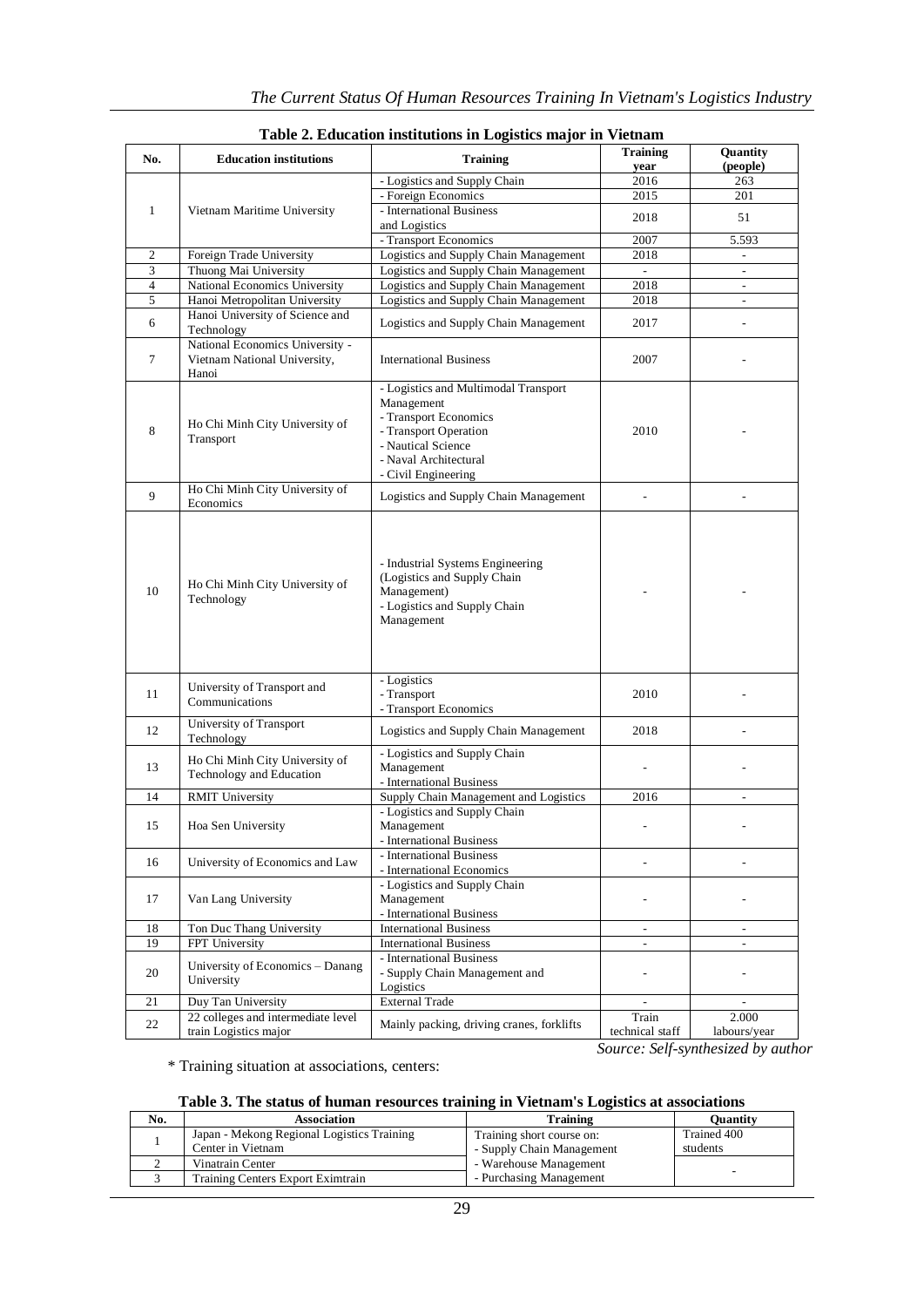| No.            | <b>Education institutions</b><br><b>Training</b>                         |                                                                                                                                                                            | <b>Training</b><br>year  | Quantity<br>(people)     |  |
|----------------|--------------------------------------------------------------------------|----------------------------------------------------------------------------------------------------------------------------------------------------------------------------|--------------------------|--------------------------|--|
|                |                                                                          | - Logistics and Supply Chain                                                                                                                                               | 2016                     | 263                      |  |
|                |                                                                          | - Foreign Economics                                                                                                                                                        | 2015                     | 201                      |  |
| $\mathbf{1}$   | Vietnam Maritime University                                              | - International Business<br>and Logistics                                                                                                                                  | 2018                     | 51                       |  |
|                |                                                                          | - Transport Economics                                                                                                                                                      | 2007                     | 5.593                    |  |
| $\overline{c}$ | Foreign Trade University                                                 | Logistics and Supply Chain Management                                                                                                                                      | 2018                     | $\sim$                   |  |
| 3              | Thuong Mai University                                                    | Logistics and Supply Chain Management                                                                                                                                      | $\overline{a}$           | $\overline{\phantom{a}}$ |  |
| $\overline{4}$ | National Economics University                                            | Logistics and Supply Chain Management                                                                                                                                      | 2018                     | $\overline{\phantom{a}}$ |  |
| 5              | Hanoi Metropolitan University                                            | Logistics and Supply Chain Management                                                                                                                                      | 2018                     |                          |  |
| 6              | Hanoi University of Science and<br>Technology                            | Logistics and Supply Chain Management                                                                                                                                      | 2017                     |                          |  |
| $\tau$         | National Economics University -<br>Vietnam National University,<br>Hanoi | <b>International Business</b>                                                                                                                                              | 2007                     |                          |  |
| 8              | Ho Chi Minh City University of<br>Transport                              | - Logistics and Multimodal Transport<br>Management<br>- Transport Economics<br>- Transport Operation<br>- Nautical Science<br>- Naval Architectural<br>- Civil Engineering | 2010                     |                          |  |
| 9              | Ho Chi Minh City University of<br>Economics                              | Logistics and Supply Chain Management                                                                                                                                      | $\overline{a}$           |                          |  |
| 10             | Ho Chi Minh City University of<br>Technology                             | - Industrial Systems Engineering<br>(Logistics and Supply Chain<br>Management)<br>- Logistics and Supply Chain<br>Management                                               |                          |                          |  |
| 11             | University of Transport and<br>Communications                            | - Logistics<br>- Transport<br>- Transport Economics                                                                                                                        | 2010                     |                          |  |
| 12             | University of Transport<br>Technology                                    | Logistics and Supply Chain Management                                                                                                                                      | 2018                     |                          |  |
| 13             | Ho Chi Minh City University of<br>Technology and Education               | - Logistics and Supply Chain<br>Management<br>- International Business                                                                                                     |                          |                          |  |
| 14             | <b>RMIT University</b>                                                   | Supply Chain Management and Logistics                                                                                                                                      | 2016                     |                          |  |
| 15             | Hoa Sen University                                                       | - Logistics and Supply Chain<br>Management<br>- International Business                                                                                                     |                          |                          |  |
| 16             | University of Economics and Law                                          | - International Business<br>- International Economics                                                                                                                      |                          |                          |  |
| 17             | Van Lang University                                                      | - Logistics and Supply Chain<br>Management<br>- International Business                                                                                                     |                          |                          |  |
| 18             | Ton Duc Thang University                                                 | <b>International Business</b>                                                                                                                                              | ÷                        | $\overline{\phantom{a}}$ |  |
| 19             | FPT University                                                           | <b>International Business</b>                                                                                                                                              |                          |                          |  |
| 20             | University of Economics - Danang<br>University                           | - International Business<br>- Supply Chain Management and<br>Logistics                                                                                                     |                          |                          |  |
| 21             | Duy Tan University                                                       | <b>External Trade</b>                                                                                                                                                      | $\overline{\phantom{a}}$ | $\overline{\phantom{a}}$ |  |
| 22             | 22 colleges and intermediate level<br>train Logistics major              | Mainly packing, driving cranes, forklifts                                                                                                                                  | Train<br>technical staff | 2.000<br>labours/year    |  |

|  | Table 2. Education institutions in Logistics major in Vietnam |  |  |  |
|--|---------------------------------------------------------------|--|--|--|
|  |                                                               |  |  |  |

*Source: Self-synthesized by author*

\* Training situation at associations, centers:

|  |  |  | Table 3. The status of human resources training in Vietnam's Logistics at associations |
|--|--|--|----------------------------------------------------------------------------------------|
|  |  |  |                                                                                        |

| No. | Association                                | <b>Training</b>           | <b>Ouantity</b> |
|-----|--------------------------------------------|---------------------------|-----------------|
|     | Japan - Mekong Regional Logistics Training | Training short course on: | Trained 400     |
|     | Center in Vietnam                          | - Supply Chain Management | students        |
|     | Vinatrain Center                           | - Warehouse Management    |                 |
|     | Training Centers Export Eximtrain          | - Purchasing Management   | -               |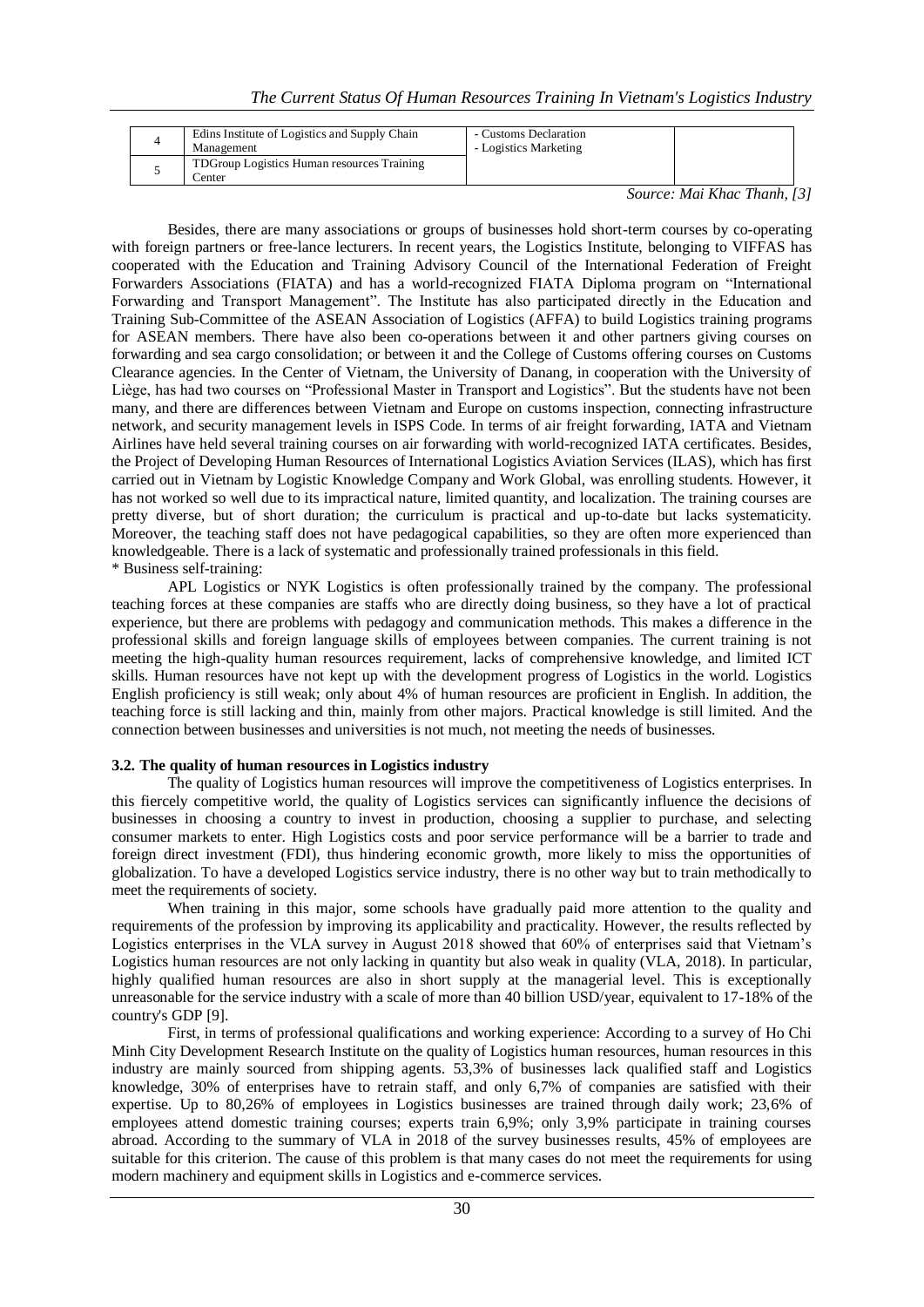*The Current Status Of Human Resources Training In Vietnam's Logistics Industry*

| Edins Institute of Logistics and Supply Chain<br>Management | - Customs Declaration<br>- Logistics Marketing |  |
|-------------------------------------------------------------|------------------------------------------------|--|
| TDGroup Logistics Human resources Training<br>enter_        |                                                |  |

*Source: Mai Khac Thanh, [3]* 

Besides, there are many associations or groups of businesses hold short-term courses by co-operating with foreign partners or free-lance lecturers. In recent years, the Logistics Institute, belonging to VIFFAS has cooperated with the Education and Training Advisory Council of the International Federation of Freight Forwarders Associations (FIATA) and has a world-recognized FIATA Diploma program on "International Forwarding and Transport Management". The Institute has also participated directly in the Education and Training Sub-Committee of the ASEAN Association of Logistics (AFFA) to build Logistics training programs for ASEAN members. There have also been co-operations between it and other partners giving courses on forwarding and sea cargo consolidation; or between it and the College of Customs offering courses on Customs Clearance agencies. In the Center of Vietnam, the University of Danang, in cooperation with the University of Liège, has had two courses on "Professional Master in Transport and Logistics". But the students have not been many, and there are differences between Vietnam and Europe on customs inspection, connecting infrastructure network, and security management levels in ISPS Code. In terms of air freight forwarding, IATA and Vietnam Airlines have held several training courses on air forwarding with world-recognized IATA certificates. Besides, the Project of Developing Human Resources of International Logistics Aviation Services (ILAS), which has first carried out in Vietnam by Logistic Knowledge Company and Work Global, was enrolling students. However, it has not worked so well due to its impractical nature, limited quantity, and localization. The training courses are pretty diverse, but of short duration; the curriculum is practical and up-to-date but lacks systematicity. Moreover, the teaching staff does not have pedagogical capabilities, so they are often more experienced than knowledgeable. There is a lack of systematic and professionally trained professionals in this field. \* Business self-training:

APL Logistics or NYK Logistics is often professionally trained by the company. The professional teaching forces at these companies are staffs who are directly doing business, so they have a lot of practical experience, but there are problems with pedagogy and communication methods. This makes a difference in the professional skills and foreign language skills of employees between companies. The current training is not meeting the high-quality human resources requirement, lacks of comprehensive knowledge, and limited ICT skills. Human resources have not kept up with the development progress of Logistics in the world. Logistics English proficiency is still weak; only about 4% of human resources are proficient in English. In addition, the teaching force is still lacking and thin, mainly from other majors. Practical knowledge is still limited. And the connection between businesses and universities is not much, not meeting the needs of businesses.

## **3.2. The quality of human resources in Logistics industry**

The quality of Logistics human resources will improve the competitiveness of Logistics enterprises. In this fiercely competitive world, the quality of Logistics services can significantly influence the decisions of businesses in choosing a country to invest in production, choosing a supplier to purchase, and selecting consumer markets to enter. High Logistics costs and poor service performance will be a barrier to trade and foreign direct investment (FDI), thus hindering economic growth, more likely to miss the opportunities of globalization. To have a developed Logistics service industry, there is no other way but to train methodically to meet the requirements of society.

When training in this major, some schools have gradually paid more attention to the quality and requirements of the profession by improving its applicability and practicality. However, the results reflected by Logistics enterprises in the VLA survey in August 2018 showed that 60% of enterprises said that Vietnam's Logistics human resources are not only lacking in quantity but also weak in quality (VLA, 2018). In particular, highly qualified human resources are also in short supply at the managerial level. This is exceptionally unreasonable for the service industry with a scale of more than 40 billion USD/year, equivalent to 17-18% of the country's GDP [9].

First, in terms of professional qualifications and working experience: According to a survey of Ho Chi Minh City Development Research Institute on the quality of Logistics human resources, human resources in this industry are mainly sourced from shipping agents. 53,3% of businesses lack qualified staff and Logistics knowledge, 30% of enterprises have to retrain staff, and only 6,7% of companies are satisfied with their expertise. Up to 80,26% of employees in Logistics businesses are trained through daily work; 23,6% of employees attend domestic training courses; experts train 6,9%; only 3,9% participate in training courses abroad. According to the summary of VLA in 2018 of the survey businesses results, 45% of employees are suitable for this criterion. The cause of this problem is that many cases do not meet the requirements for using modern machinery and equipment skills in Logistics and e-commerce services.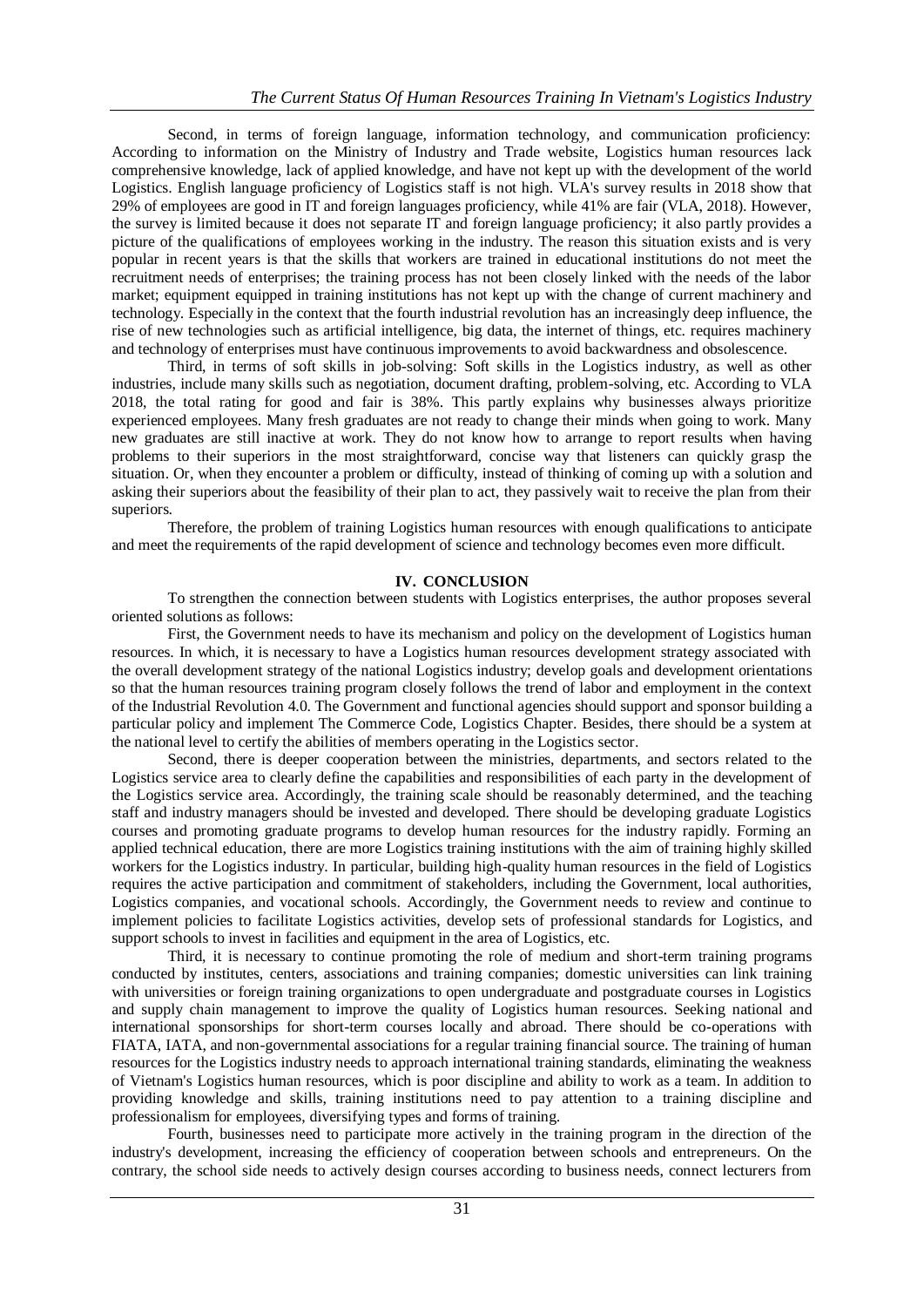Second, in terms of foreign language, information technology, and communication proficiency: According to information on the Ministry of Industry and Trade website, Logistics human resources lack comprehensive knowledge, lack of applied knowledge, and have not kept up with the development of the world Logistics. English language proficiency of Logistics staff is not high. VLA's survey results in 2018 show that 29% of employees are good in IT and foreign languages proficiency, while 41% are fair (VLA, 2018). However, the survey is limited because it does not separate IT and foreign language proficiency; it also partly provides a picture of the qualifications of employees working in the industry. The reason this situation exists and is very popular in recent years is that the skills that workers are trained in educational institutions do not meet the recruitment needs of enterprises; the training process has not been closely linked with the needs of the labor market; equipment equipped in training institutions has not kept up with the change of current machinery and technology. Especially in the context that the fourth industrial revolution has an increasingly deep influence, the rise of new technologies such as artificial intelligence, big data, the internet of things, etc. requires machinery and technology of enterprises must have continuous improvements to avoid backwardness and obsolescence.

Third, in terms of soft skills in job-solving: Soft skills in the Logistics industry, as well as other industries, include many skills such as negotiation, document drafting, problem-solving, etc. According to VLA 2018, the total rating for good and fair is 38%. This partly explains why businesses always prioritize experienced employees. Many fresh graduates are not ready to change their minds when going to work. Many new graduates are still inactive at work. They do not know how to arrange to report results when having problems to their superiors in the most straightforward, concise way that listeners can quickly grasp the situation. Or, when they encounter a problem or difficulty, instead of thinking of coming up with a solution and asking their superiors about the feasibility of their plan to act, they passively wait to receive the plan from their superiors.

Therefore, the problem of training Logistics human resources with enough qualifications to anticipate and meet the requirements of the rapid development of science and technology becomes even more difficult.

## **IV. CONCLUSION**

To strengthen the connection between students with Logistics enterprises, the author proposes several oriented solutions as follows:

First, the Government needs to have its mechanism and policy on the development of Logistics human resources. In which, it is necessary to have a Logistics human resources development strategy associated with the overall development strategy of the national Logistics industry; develop goals and development orientations so that the human resources training program closely follows the trend of labor and employment in the context of the Industrial Revolution 4.0. The Government and functional agencies should support and sponsor building a particular policy and implement The Commerce Code, Logistics Chapter. Besides, there should be a system at the national level to certify the abilities of members operating in the Logistics sector.

Second, there is deeper cooperation between the ministries, departments, and sectors related to the Logistics service area to clearly define the capabilities and responsibilities of each party in the development of the Logistics service area. Accordingly, the training scale should be reasonably determined, and the teaching staff and industry managers should be invested and developed. There should be developing graduate Logistics courses and promoting graduate programs to develop human resources for the industry rapidly. Forming an applied technical education, there are more Logistics training institutions with the aim of training highly skilled workers for the Logistics industry. In particular, building high-quality human resources in the field of Logistics requires the active participation and commitment of stakeholders, including the Government, local authorities, Logistics companies, and vocational schools. Accordingly, the Government needs to review and continue to implement policies to facilitate Logistics activities, develop sets of professional standards for Logistics, and support schools to invest in facilities and equipment in the area of Logistics, etc.

Third, it is necessary to continue promoting the role of medium and short-term training programs conducted by institutes, centers, associations and training companies; domestic universities can link training with universities or foreign training organizations to open undergraduate and postgraduate courses in Logistics and supply chain management to improve the quality of Logistics human resources. Seeking national and international sponsorships for short-term courses locally and abroad. There should be co-operations with FIATA, IATA, and non-governmental associations for a regular training financial source. The training of human resources for the Logistics industry needs to approach international training standards, eliminating the weakness of Vietnam's Logistics human resources, which is poor discipline and ability to work as a team. In addition to providing knowledge and skills, training institutions need to pay attention to a training discipline and professionalism for employees, diversifying types and forms of training.

Fourth, businesses need to participate more actively in the training program in the direction of the industry's development, increasing the efficiency of cooperation between schools and entrepreneurs. On the contrary, the school side needs to actively design courses according to business needs, connect lecturers from